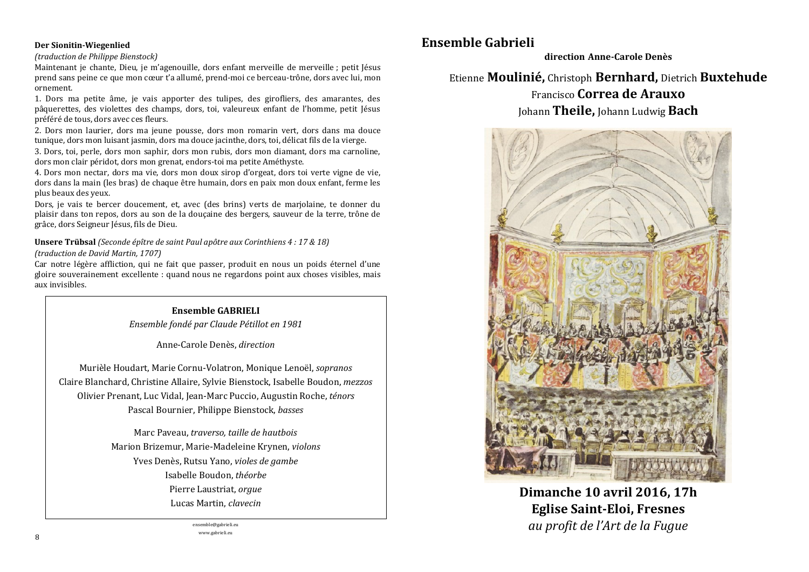#### Der Sionitin-Wiegenlied

#### (traduction de Philippe Bienstock)

Maintenant je chante, Dieu, je m'agenouille, dors enfant merveille de merveille ; petit Jésus prend sans peine ce que mon cœur t'a allumé, prend-moi ce berceau-trône, dors avec lui, mon ornement.

1. Dors ma petite âme, je vais apporter des tulipes, des girofliers, des amarantes, des pâquerettes, des violettes des champs, dors, toi, valeureux enfant de l'homme, petit lésus préféré de tous, dors avec ces fleurs.

2. Dors mon laurier, dors ma jeune pousse, dors mon romarin vert, dors dans ma douce tunique, dors mon luisant jasmin, dors ma douce jacinthe, dors, toi, délicat fils de la vierge.

3. Dors, toi, perle, dors mon saphir, dors mon rubis, dors mon diamant, dors ma carnoline. dors mon clair péridot, dors mon grenat, endors-toi ma petite Améthyste.

4. Dors mon nectar, dors ma vie, dors mon doux siron d'orgeat, dors toi verte vigne de vie. dors dans la main (les bras) de chaque être humain, dors en paix mon doux enfant, ferme les plus beaux des yeux.

Dors, je vais te bercer doucement, et, avec (des brins) verts de marjolaine, te donner du plaisir dans ton repos, dors au son de la douçaine des bergers, sauveur de la terre, trône de grâce, dors Seigneur Jésus, fils de Dieu.

Unsere Trübsal (Seconde épître de saint Paul apôtre aux Corinthiens 4 : 17 & 18) (traduction de David Martin, 1707)

Car notre légère affliction, qui ne fait que passer, produit en nous un poids éternel d'une gloire souverainement excellente : quand nous ne regardons point aux choses visibles, mais aux invisibles.

# **Ensemble GABRIELI** Ensemble fondé par Claude Pétillot en 1981

Anne-Carole Denès, direction

Murièle Houdart, Marie Cornu-Volatron, Monique Lenoël, sopranos Claire Blanchard, Christine Allaire, Sylvie Bienstock, Isabelle Boudon, mezzos Olivier Prenant, Luc Vidal, Jean-Marc Puccio, Augustin Roche, ténors Pascal Bournier, Philippe Bienstock, basses

> Marc Paveau, traverso, taille de hautbois Marion Brizemur, Marie-Madeleine Krynen, violons Yves Denès, Rutsu Yano, violes de gambe Isabelle Boudon, théorbe Pierre Laustriat, orgue Lucas Martin, clavecin

> > ensemble@gabrieli.eu www.gabrieli.eu

# Ensemble Gabrieli

direction Anne-Carole Denès

# Etienne Moulinié, Christoph Bernhard, Dietrich Buxtehude Francisco Correa de Arauxo

Johann Theile, Johann Ludwig Bach



Dimanche 10 avril 2016, 17h **Eglise Saint-Eloi, Fresnes** au profit de l'Art de la Fugue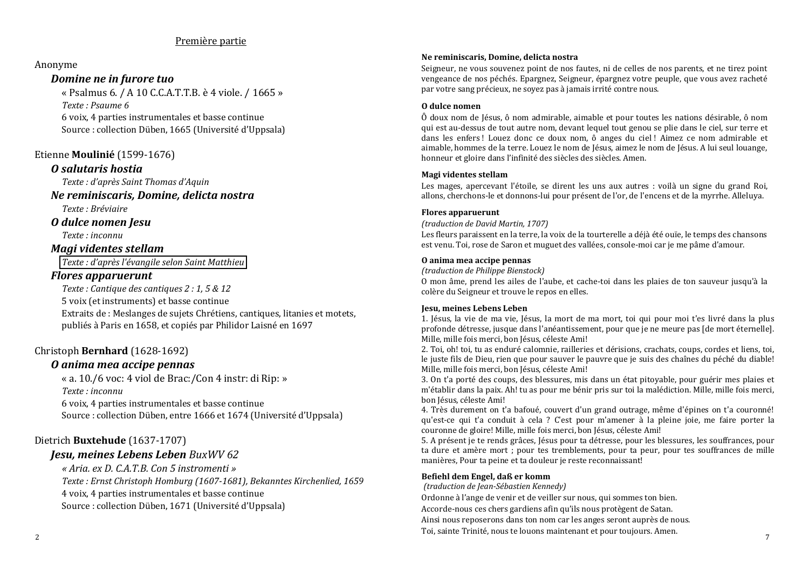### Première partie

#### Anonyme

### Domine ne in furore tuo

« Psalmus 6, / A 10 C.C.A.T.T.B. è 4 viole, / 1665 » Texte · Psaume 6

6 voix. 4 parties instrumentales et basse continue Source : collection Düben, 1665 (Université d'Uppsala)

### Etienne Moulinié (1599-1676)

### O salutaris hostia

Texte : d'après Saint Thomas d'Aguin

## Ne reminiscaris, Domine, delicta nostra

Texte : Bréviaire

#### O dulce nomen Jesu

Texte : inconnu

### Magi videntes stellam

Texte : d'après l'évangile selon Saint Matthieu

### **Flores apparuerunt**

Texte : Cantique des cantiques 2 : 1.5 & 12 5 voix (et instruments) et basse continue Extraits de : Meslanges de suiets Chrétiens, cantiques, litanies et motets. publiés à Paris en 1658, et copiés par Philidor Laisné en 1697

### Christoph Bernhard (1628-1692)

### O anima mea accipe pennas

« a. 10./6 voc: 4 viol de Brac:/Con 4 instr: di Rip: » Texte : inconnu

6 voix, 4 parties instrumentales et basse continue Source : collection Düben, entre 1666 et 1674 (Université d'Uppsala)

## Dietrich Buxtehude (1637-1707)

## **Jesu, meines Lebens Leben BuxWV 62**

« Aria, ex D. C.A.T.B. Con 5 instromenti » Texte: Ernst Christoph Homburg (1607-1681), Bekanntes Kirchenlied, 1659 4 voix, 4 parties instrumentales et basse continue Source : collection Düben, 1671 (Université d'Uppsala)

#### Ne reminiscaris, Domine, delicta nostra

Seigneur, ne vous souvenez point de nos fautes, ni de celles de nos parents, et ne tirez point vengeance de nos péchés. Epargnez. Seigneur, épargnez votre peuple, que vous avez racheté par votre sang précieux, ne sovez pas à jamais irrité contre nous.

#### O dulce nomen

Ô doux nom de Jésus, ô nom admirable, aimable et pour toutes les nations désirable, ô nom qui est au-dessus de tout autre nom, devant lequel tout genou se plie dans le ciel, sur terre et dans les enfers! Louez donc ce doux nom, ô anges du ciel! Aimez ce nom admirable et aimable, hommes de la terre, Louez le nom de Jésus, aimez le nom de Jésus, A lui seul louange. honneur et gloire dans l'infinité des siècles des siècles. Amen.

#### Magi videntes stellam

Les mages, apercevant l'étoile, se dirent les uns aux autres : voilà un signe du grand Roi, allons, cherchons-le et donnons-lui pour présent de l'or, de l'encens et de la myrrhe. Alleluya.

#### **Flores apparuerunt**

#### (traduction de David Martin, 1707)

Les fleurs paraissent en la terre, la voix de la tourterelle a déjà été ouje, le temps des chansons est venu. Toi, rose de Saron et muguet des vallées, console-moi car je me pâme d'amour.

#### O anima mea accipe pennas

(traduction de Philippe Bienstock)

0 mon âme, prend les ailes de l'aube, et cache-toi dans les plaies de ton sauveur jusqu'à la colère du Seigneur et trouve le repos en elles.

#### **Jesu, meines Lebens Leben**

1. Jésus, la vie de ma vie, Jésus, la mort de ma mort, toi qui pour moi t'es livré dans la plus profonde détresse, jusque dans l'anéantissement, pour que je ne meure pas [de mort éternelle]. Mille, mille fois merci, bon Jésus, céleste Ami!

2. Toi, oh! toi, tu as enduré calomnie, railleries et dérisions, crachats, coups, cordes et liens, toi, le juste fils de Dieu, rien que pour sauver le pauvre que je suis des chaînes du péché du diable! Mille, mille fois merci, bon Jésus, céleste Ami!

3. On t'a porté des coups, des blessures, mis dans un état pitovable, pour guérir mes plaies et m'établir dans la paix. Ah! tu as pour me bénir pris sur toi la malédiction. Mille, mille fois merci, bon Jésus, céleste Ami!

4. Très durement on t'a bafoué, couvert d'un grand outrage, même d'épines on t'a couronné! qu'est-ce qui t'a conduit à cela ? C'est pour m'amener à la pleine joie, me faire porter la couronne de gloire! Mille, mille fois merci, bon Jésus, céleste Ami!

5. A présent je te rends grâces, Jésus pour ta détresse, pour les blessures, les souffrances, pour ta dure et amère mort : pour tes tremblements, pour ta peur, pour tes souffrances de mille manières, Pour ta peine et ta douleur je reste reconnaissant!

#### Befiehl dem Engel, daß er komm

(traduction de Jean-Sébastien Kennedy)

Ordonne à l'ange de venir et de veiller sur nous, qui sommes ton bien.

Accorde-nous ces chers gardiens afin qu'ils nous protègent de Satan.

Ainsi nous reposerons dans ton nom car les anges seront auprès de nous.

Toi, sainte Trinité, nous te louons maintenant et pour toujours. Amen.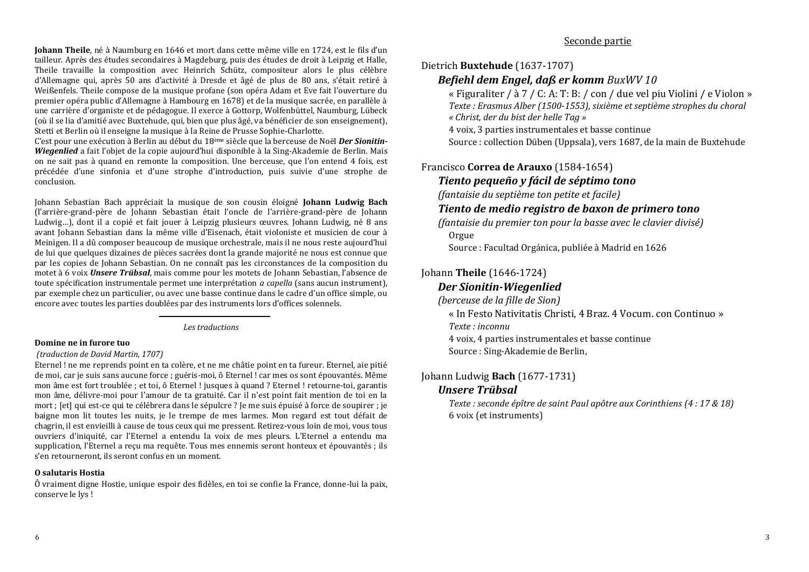Johann Theile, né à Naumburg en 1646 et mort dans cette même ville en 1724, est le fils d'un tailleur. Après des études secondaires à Magdeburg, puis des études de droit à Leipzig et Halle. Theile travaille la composition avec Heinrich Schütz, compositeur alors le plus célèbre d'Allemagne qui, après 50 ans d'activité à Dresde et âgé de plus de 80 ans, s'était retiré à Weißenfels. Theile compose de la musique profane (son opéra Adam et Eve fait l'ouverture du premier opéra public d'Allemagne à Hambourg en 1678) et de la musique sacrée, en parallèle à une carrière d'organiste et de pédagogue. Il exerce à Gottorp, Wolfenbüttel, Naumburg, Lübeck (où il se lia d'amitié avec Buxtehude, qui, bien que plus âgé, va bénéficier de son enseignement), Stetti et Berlin où il enseigne la musique à la Reine de Prusse Sophie-Charlotte.

C'est pour une exécution à Berlin au début du 18<sup>ème</sup> siècle que la berceuse de Noël *Der Sionitin*-Wiegenlied a fait l'objet de la copie aujourd'hui disponible à la Sing-Akademie de Berlin. Mais on ne sait pas à quand en remonte la composition. Une berceuse, que l'on entend 4 fois, est précédée d'une sinfonia et d'une strophe d'introduction, puis suivie d'une strophe de conclusion.

Johann Sebastian Bach appréciait la musique de son cousin éloigné Johann Ludwig Bach (l'arrière-grand-père de Johann Sebastian était l'oncle de l'arrière-grand-père de Johann Ludwig...), dont il a copié et fait jouer à Leipzig plusieurs œuvres. Johann Ludwig, né 8 ans avant Johann Sebastian dans la même ville d'Eisenach, était violoniste et musicien de cour à Meinigen. Il a dû composer beaucoup de musique orchestrale, mais il ne nous reste aujourd'hui de lui que quelques dizaines de pièces sacrées dont la grande majorité ne nous est connue que par les copies de Johann Sebastian. On ne connaît pas les circonstances de la composition du motet à 6 voix *Unsere Trübsal*, mais comme pour les motets de Johann Sebastian, l'absence de toute spécification instrumentale permet une interprétation *a capella* (sans aucun instrument), par exemple chez un particulier, ou avec une basse continue dans le cadre d'un office simple, ou encore avec toutes les parties doublées par des instruments lors d'offices solennels.

Les traductions

#### Domine ne in furore tuo

#### (traduction de David Martin, 1707)

Eternel ! ne me reprends point en ta colère, et ne me châtie point en ta fureur. Eternel, aie pitié de moi, car je suis sans aucune force ; guéris-moi, ô Eternel ! car mes os sont épouvantés. Même mon âme est fort troublée : et toi, ô Eternel ! jusques à quand ? Eternel ! retourne-toi, garantis mon âme, délivre-moi pour l'amour de ta gratuité. Car il n'est point fait mention de toi en la mort : [et] qui est-ce qui te célébrera dans le sépulcre ? Je me suis épuisé à force de soupirer : je baigne mon lit toutes les nuits, je le trempe de mes larmes. Mon regard est tout défait de chagrin, il est envieilli à cause de tous ceux qui me pressent. Retirez-vous loin de moi, vous tous ouvriers d'iniquité, car l'Eternel a entendu la voix de mes pleurs. L'Eternel a entendu ma supplication. l'Eternel a recu ma requête. Tous mes ennemis seront honteux et épouvantés : ils s'en retourneront, ils seront confus en un moment.

#### **O** salutaris Hostia

 $\hat{0}$  vraiment digne Hostie, unique espoir des fidèles, en toi se confie la France, donne-lui la paix. conserve le lvs!

## Seconde partie

## Dietrich Buxtehude (1637-1707)

## Befiehl dem Engel, daß er komm BuxWV 10

« Figuraliter / à 7 / C: A: T: B: / con / due vel piu Violini / e Violon » Texte : Erasmus Alber (1500-1553), sixième et septième strophes du choral « Christ, der du bist der helle Tag »

4 voix, 3 parties instrumentales et basse continue

Source : collection Düben (Uppsala), vers 1687, de la main de Buxtehude

## Francisco Correa de Arauxo (1584-1654)

## Tiento pequeño y fácil de séptimo tono

(fantaisie du septième ton petite et facile)

## Tiento de medio reaistro de baxon de primero tono

(fantaisie du premier ton pour la basse avec le clavier divisé) Orgue

Source : Facultad Orgánica, publiée à Madrid en 1626

## Johann Theile (1646-1724)

## **Der Sionitin-Wiegenlied**

(berceuse de la fille de Sion)

« In Festo Nativitatis Christi, 4 Braz, 4 Vocum, con Continuo » Texte : inconnu

4 voix, 4 parties instrumentales et basse continue Source : Sing-Akademie de Berlin,

## Johann Ludwig Bach (1677-1731)

## **Unsere Trübsal**

Texte : seconde épître de saint Paul apôtre aux Corinthiens (4 : 17 & 18) 6 voix (et instruments)